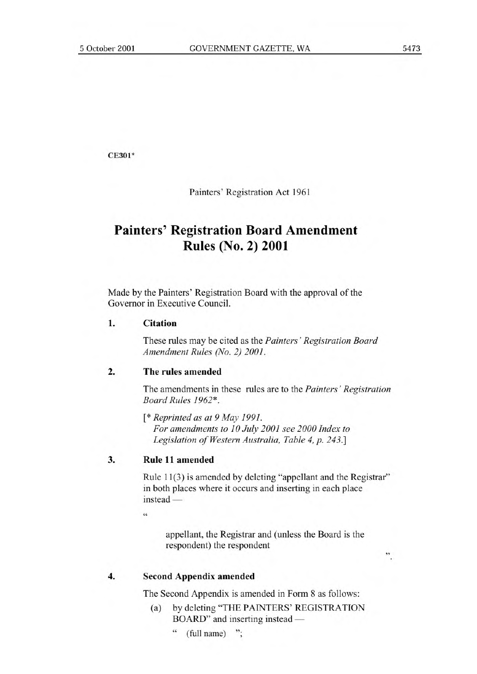CE301\*

Painters' Registration Act 1961

# **Painters' Registration Board Amendment Rules (No. 2) 2001**

Made by the Painters' Registration Board with the approval of the Governor in Executive Council.

### **1. Citation**

These rules may be cited as the *Painters' Registration Board Amendment Rules (No. 2) 2001.* 

#### **2. The rules amended**

The amendments in these rules are to the *Painters' Registration Board Rules 1962\*.* 

*[\* Reprinted as at 9 May 1991. For amendments to 10 July 2001 see 2000 Index to Legislation of Western Australia, Table 4, p. 243.]* 

## **3. Rule 11 amended**

Rule 11(3) is amended by deleting "appellant and the Registrar" in both places where it occurs and inserting in each place instead —

**it** 

appellant, the Registrar and (unless the Board is the respondent) the respondent

 $\ddot{\phantom{a}}$ 

#### **4. Second Appendix** amended

The Second Appendix is amended in Form 8 as follows:

- (a) by deleting "THE PAINTERS' REGISTRATION BOARD" and inserting instead —
	- " (full name) ";